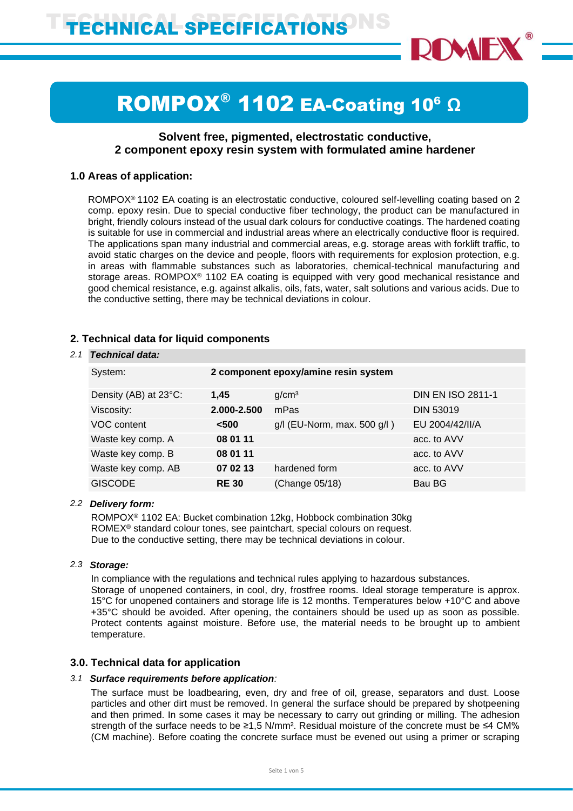

# ROMPOX<sup>®</sup> 1102 EA-Coating 10<sup>6</sup> Ω

# **Solvent free, pigmented, electrostatic conductive, 2 component epoxy resin system with formulated amine hardener**

# **1.0 Areas of application:**

ROMPOX<sup>®</sup> 1102 EA coating is an electrostatic conductive, coloured self-levelling coating based on 2 comp. epoxy resin. Due to special conductive fiber technology, the product can be manufactured in bright, friendly colours instead of the usual dark colours for conductive coatings. The hardened coating is suitable for use in commercial and industrial areas where an electrically conductive floor is required. The applications span many industrial and commercial areas, e.g. storage areas with forklift traffic, to avoid static charges on the device and people, floors with requirements for explosion protection, e.g. in areas with flammable substances such as laboratories, chemical-technical manufacturing and storage areas. ROMPOX<sup>®</sup> 1102 EA coating is equipped with very good mechanical resistance and good chemical resistance, e.g. against alkalis, oils, fats, water, salt solutions and various acids. Due to the conductive setting, there may be technical deviations in colour.

# **2. Technical data for liquid components**

## *2.1 Technical data:*

| System:               | 2 component epoxy/amine resin system |                                  |                          |
|-----------------------|--------------------------------------|----------------------------------|--------------------------|
| Density (AB) at 23°C: | 1,45                                 | g/cm <sup>3</sup>                | <b>DIN EN ISO 2811-1</b> |
| Viscosity:            | 2.000-2.500                          | mPas                             | <b>DIN 53019</b>         |
| VOC content           | < 500                                | $g/l$ (EU-Norm, max. 500 $g/l$ ) | EU 2004/42/II/A          |
| Waste key comp. A     | 08 01 11                             |                                  | acc. to AVV              |
| Waste key comp. B     | 08 01 11                             |                                  | acc. to AVV              |
| Waste key comp. AB    | 07 02 13                             | hardened form                    | acc. to AVV              |
| <b>GISCODE</b>        | <b>RE30</b>                          | (Change 05/18)                   | Bau BG                   |
|                       |                                      |                                  |                          |

# *2.2 Delivery form:*

ROMPOX® 1102 EA: Bucket combination 12kg, Hobbock combination 30kg ROMEX® standard colour tones, see paintchart, special colours on request. Due to the conductive setting, there may be technical deviations in colour.

## *2.3 Storage:*

In compliance with the regulations and technical rules applying to hazardous substances. Storage of unopened containers, in cool, dry, frostfree rooms. Ideal storage temperature is approx. 15°C for unopened containers and storage life is 12 months. Temperatures below +10°C and above +35°C should be avoided. After opening, the containers should be used up as soon as possible. Protect contents against moisture. Before use, the material needs to be brought up to ambient temperature.

# **3.0. Technical data for application**

# *3.1 Surface requirements before application:*

The surface must be loadbearing, even, dry and free of oil, grease, separators and dust. Loose particles and other dirt must be removed. In general the surface should be prepared by shotpeening and then primed. In some cases it may be necessary to carry out grinding or milling. The adhesion strength of the surface needs to be ≥1,5 N/mm<sup>2</sup>. Residual moisture of the concrete must be ≤4 CM% (CM machine). Before coating the concrete surface must be evened out using a primer or scraping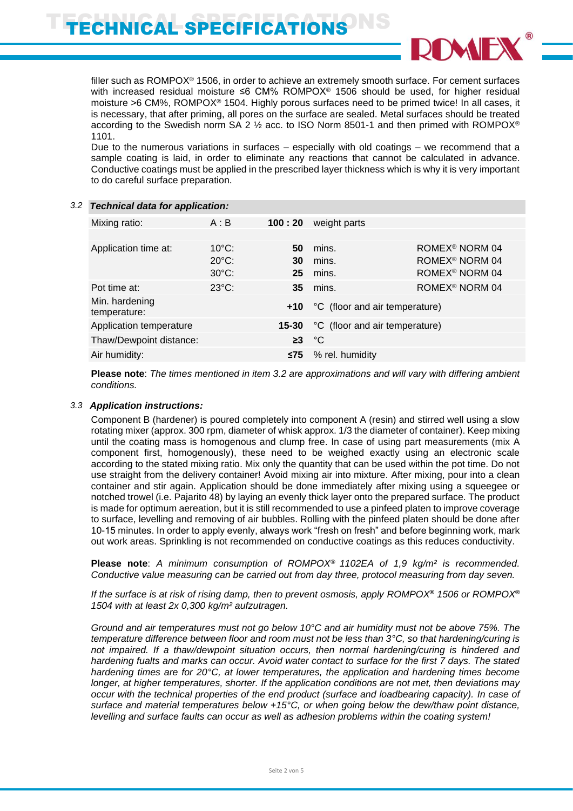# ECHNICAL SPECIFICATIONS



filler such as ROMPOX<sup>®</sup> 1506, in order to achieve an extremely smooth surface. For cement surfaces with increased residual moisture ≤6 CM% ROMPOX<sup>®</sup> 1506 should be used, for higher residual moisture >6 CM%, ROMPOX® 1504. Highly porous surfaces need to be primed twice! In all cases, it is necessary, that after priming, all pores on the surface are sealed. Metal surfaces should be treated according to the Swedish norm SA 2 ½ acc. to ISO Norm 8501-1 and then primed with ROMPOX® 1101.

Due to the numerous variations in surfaces – especially with old coatings – we recommend that a sample coating is laid, in order to eliminate any reactions that cannot be calculated in advance. Conductive coatings must be applied in the prescribed layer thickness which is why it is very important to do careful surface preparation.

| Mixing ratio:                  | A : B           | 100:20                                                                       | weight parts                   |                                        |
|--------------------------------|-----------------|------------------------------------------------------------------------------|--------------------------------|----------------------------------------|
|                                |                 |                                                                              |                                |                                        |
| Application time at:           | $10^{\circ}$ C: | 50                                                                           | mins.                          | ROMEX <sup>®</sup> NORM 04             |
|                                |                 |                                                                              |                                | ROMEX <sup>®</sup> NORM 04             |
|                                |                 |                                                                              |                                | ROMEX <sup>®</sup> NORM 04             |
| Pot time at:                   | $23^{\circ}$ C: | 35                                                                           |                                | ROMEX <sup>®</sup> NORM 04             |
| Min. hardening<br>temperature: |                 | $+10$                                                                        | °C (floor and air temperature) |                                        |
| Application temperature        |                 | 15-30                                                                        | °C (floor and air temperature) |                                        |
| Thaw/Dewpoint distance:        |                 |                                                                              |                                |                                        |
| Air humidity:                  |                 | ≤75                                                                          | % rel. humidity                |                                        |
|                                |                 | <b>Technical data for application:</b><br>$20^{\circ}$ C:<br>$30^{\circ}$ C: | 30<br>25                       | mins.<br>mins.<br>mins.<br>$\geq 3$ °C |

#### **Please note**: *The times mentioned in item 3.2 are approximations and will vary with differing ambient conditions.*

## *3.3 Application instructions:*

Component B (hardener) is poured completely into component A (resin) and stirred well using a slow rotating mixer (approx. 300 rpm, diameter of whisk approx. 1/3 the diameter of container). Keep mixing until the coating mass is homogenous and clump free. In case of using part measurements (mix A component first, homogenously), these need to be weighed exactly using an electronic scale according to the stated mixing ratio. Mix only the quantity that can be used within the pot time. Do not use straight from the delivery container! Avoid mixing air into mixture. After mixing, pour into a clean container and stir again. Application should be done immediately after mixing using a squeegee or notched trowel (i.e. Pajarito 48) by laying an evenly thick layer onto the prepared surface. The product is made for optimum aereation, but it is still recommended to use a pinfeed platen to improve coverage to surface, levelling and removing of air bubbles. Rolling with the pinfeed platen should be done after 10-15 minutes. In order to apply evenly, always work "fresh on fresh" and before beginning work, mark out work areas. Sprinkling is not recommended on conductive coatings as this reduces conductivity.

**Please note**: *A minimum consumption of ROMPOX® 1102EA of 1,9 kg/m² is recommended. Conductive value measuring can be carried out from day three, protocol measuring from day seven.*

*If the surface is at risk of rising damp, then to prevent osmosis, apply ROMPOX***®** *1506 or ROMPOX***®** *1504 with at least 2x 0,300 kg/m² aufzutragen.*

*Ground and air temperatures must not go below 10°C and air humidity must not be above 75%. The temperature difference between floor and room must not be less than 3°C, so that hardening/curing is not impaired. If a thaw/dewpoint situation occurs, then normal hardening/curing is hindered and hardening fualts and marks can occur. Avoid water contact to surface for the first 7 days. The stated hardening times are for 20°C, at lower temperatures, the application and hardening times become longer, at higher temperatures, shorter. If the application conditions are not met, then deviations may occur with the technical properties of the end product (surface and loadbearing capacity). In case of surface and material temperatures below +15°C, or when going below the dew/thaw point distance, levelling and surface faults can occur as well as adhesion problems within the coating system!*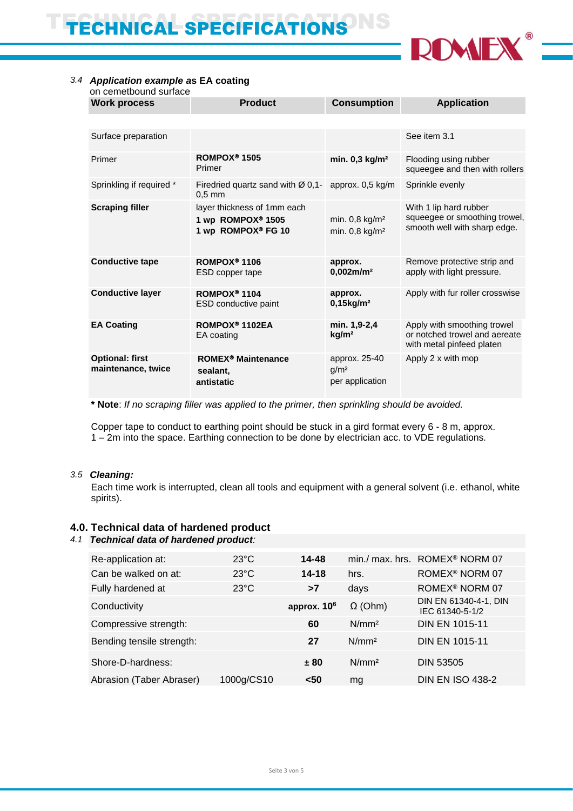

# *3.4 Application example a***s EA coating**

| on cemetbound surface                        |                                                                        |                                                            |                                                                                           |
|----------------------------------------------|------------------------------------------------------------------------|------------------------------------------------------------|-------------------------------------------------------------------------------------------|
| <b>Work process</b>                          | <b>Product</b>                                                         | <b>Consumption</b>                                         | <b>Application</b>                                                                        |
|                                              |                                                                        |                                                            |                                                                                           |
| Surface preparation                          |                                                                        |                                                            | See item 3.1                                                                              |
| Primer                                       | ROMPOX <sup>®</sup> 1505<br>Primer                                     | min. $0,3$ kg/m <sup>2</sup>                               | Flooding using rubber<br>squeegee and then with rollers                                   |
| Sprinkling if required *                     | Firedried quartz sand with $\varnothing$ 0,1-<br>$0.5$ mm              | approx. 0,5 kg/m                                           | Sprinkle evenly                                                                           |
| <b>Scraping filler</b>                       | layer thickness of 1mm each<br>1 wp ROMPOX® 1505<br>1 wp ROMPOX® FG 10 | min. $0,8$ kg/m <sup>2</sup><br>min. 0,8 kg/m <sup>2</sup> | With 1 lip hard rubber<br>squeegee or smoothing trowel,<br>smooth well with sharp edge.   |
| <b>Conductive tape</b>                       | ROMPOX <sup>®</sup> 1106<br>ESD copper tape                            | approx.<br>$0.002$ m/m <sup>2</sup>                        | Remove protective strip and<br>apply with light pressure.                                 |
| <b>Conductive layer</b>                      | ROMPOX <sup>®</sup> 1104<br><b>ESD</b> conductive paint                | approx.<br>$0,15$ kg/m <sup>2</sup>                        | Apply with fur roller crosswise                                                           |
| <b>EA Coating</b>                            | ROMPOX <sup>®</sup> 1102EA<br>EA coating                               | min. 1,9-2,4<br>kg/m <sup>2</sup>                          | Apply with smoothing trowel<br>or notched trowel and aereate<br>with metal pinfeed platen |
| <b>Optional: first</b><br>maintenance, twice | <b>ROMEX<sup>®</sup> Maintenance</b><br>sealant,<br>antistatic         | approx. 25-40<br>g/m <sup>2</sup><br>per application       | Apply 2 x with mop                                                                        |

**\* Note**: *If no scraping filler was applied to the primer, then sprinkling should be avoided.*

Copper tape to conduct to earthing point should be stuck in a gird format every 6 - 8 m, approx. 1 – 2m into the space. Earthing connection to be done by electrician acc. to VDE regulations*.*

## *3.5 Cleaning:*

Each time work is interrupted, clean all tools and equipment with a general solvent (i.e. ethanol, white spirits).

# **4.0. Technical data of hardened product**

# *4.1 Technical data of hardened product:*

| Re-application at:        | $23^{\circ}$ C | 14-48         |                   | min./ max. hrs. ROMEX <sup>®</sup> NORM 07 |
|---------------------------|----------------|---------------|-------------------|--------------------------------------------|
| Can be walked on at:      | $23^{\circ}$ C | $14 - 18$     | hrs.              | ROMEX <sup>®</sup> NORM 07                 |
| Fully hardened at         | $23^{\circ}$ C | >7            | days              | ROMEX <sup>®</sup> NORM 07                 |
| Conductivity              |                | approx. $106$ | $\Omega$ (Ohm)    | DIN EN 61340-4-1, DIN<br>IEC 61340-5-1/2   |
| Compressive strength:     |                | 60            | N/mm <sup>2</sup> | <b>DIN EN 1015-11</b>                      |
| Bending tensile strength: |                | 27            | N/mm <sup>2</sup> | <b>DIN EN 1015-11</b>                      |
| Shore-D-hardness:         |                | ± 80          | N/mm <sup>2</sup> | <b>DIN 53505</b>                           |
| Abrasion (Taber Abraser)  | 1000g/CS10     | <50           | mg                | <b>DIN EN ISO 438-2</b>                    |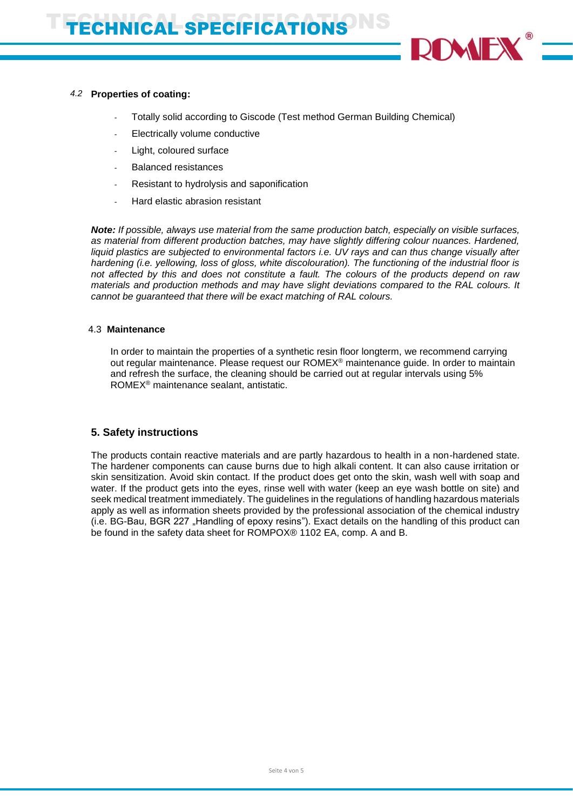

# *4.2* **Properties of coating:**

- Totally solid according to Giscode (Test method German Building Chemical)
- Electrically volume conductive
- Light, coloured surface
- Balanced resistances
- Resistant to hydrolysis and saponification
- Hard elastic abrasion resistant

*Note: If possible, always use material from the same production batch, especially on visible surfaces, as material from different production batches, may have slightly differing colour nuances. Hardened, liquid plastics are subjected to environmental factors i.e. UV rays and can thus change visually after hardening (i.e. yellowing, loss of gloss, white discolouration). The functioning of the industrial floor is not affected by this and does not constitute a fault. The colours of the products depend on raw materials and production methods and may have slight deviations compared to the RAL colours. It cannot be guaranteed that there will be exact matching of RAL colours.*

## 4.4.3 **Maintenance**

In order to maintain the properties of a synthetic resin floor longterm, we recommend carrying out regular maintenance. Please request our ROMEX® maintenance guide. In order to maintain and refresh the surface, the cleaning should be carried out at regular intervals using 5% ROMEX® maintenance sealant, antistatic.

# **5. Safety instructions**

The products contain reactive materials and are partly hazardous to health in a non-hardened state. The hardener components can cause burns due to high alkali content. It can also cause irritation or skin sensitization. Avoid skin contact. If the product does get onto the skin, wash well with soap and water. If the product gets into the eyes, rinse well with water (keep an eye wash bottle on site) and seek medical treatment immediately. The guidelines in the regulations of handling hazardous materials apply as well as information sheets provided by the professional association of the chemical industry (i.e. BG-Bau, BGR 227 .Handling of epoxy resins"). Exact details on the handling of this product can be found in the safety data sheet for ROMPOX® 1102 EA, comp. A and B.